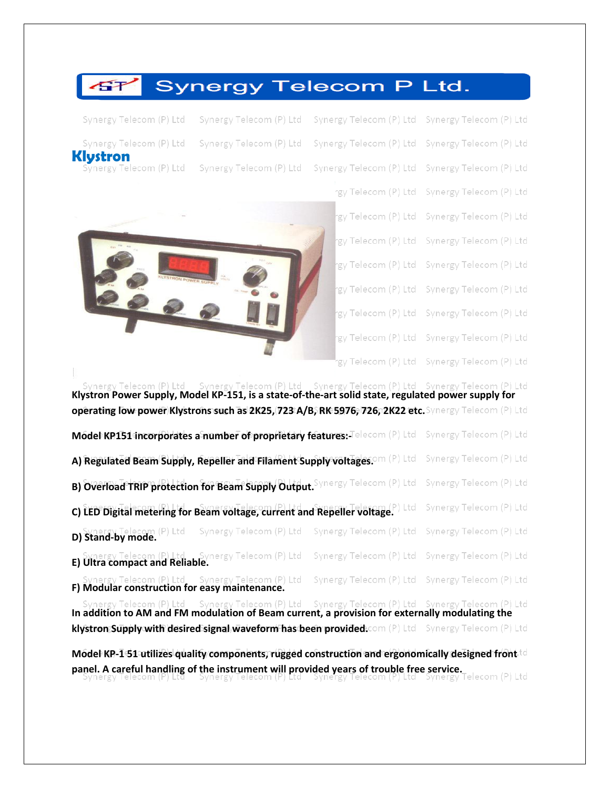## **Synergy Telecom P Ltd.** ÆŦ

|                                                                                                                    | Synergy Telecom (P) Ltd Synergy Telecom (P) Ltd Synergy Telecom (P) Ltd Synergy Telecom (P) Ltd |  |
|--------------------------------------------------------------------------------------------------------------------|-------------------------------------------------------------------------------------------------|--|
| Synergy Telecom (P) Ltd Synergy Telecom (P) Ltd Synergy Telecom (P) Ltd Synergy Telecom (P) Ltd                    |                                                                                                 |  |
| <b>Klystron</b><br>Synergy Telecom (P) Ltd Synergy Telecom (P) Ltd Synergy Telecom (P) Ltd Synergy Telecom (P) Ltd |                                                                                                 |  |



| rgy Telecom (P) Ltd - Synergy Telecom (P) Ltd |
|-----------------------------------------------|
| rgy Telecom (P) Ltd – Synergy Telecom (P) Ltd |
| rgy Telecom (P) Ltd – Synergy Telecom (P) Ltd |
| rgy Telecom (P) Ltd Synergy Telecom (P) Ltd   |
| rgy Telecom (P) Ltd – Synergy Telecom (P) Ltd |
|                                               |

rgy Telecom (P) Ltd Synergy Telecom (P) Ltd

- gy Telecom (P) Ltd Synergy Telecom (P) Ltd
- gy Telecom (P) Ltd Synergy Telecom (P) Ltd

Synergy Telecom (P) Ltd Synergy Telecom (P) Ltd Synergy Telecom (P) Ltd Synergy Telecom (P) Ltd **Klystron Power Supply, Model KP-151, is a state-of-the-art solid state, regulated power supply for operating low power Klystrons such as 2K25, 723 A/B, RK 5976, 726, 2K22 etc.** Synergy Telecom (P) Ltd Model KP151 incorporates a number of proprietary features: Telecom (P) Ltd Synergy Telecom (P) Ltd A) Regulated Beam Supply, Repeller and Filament Supply voltages.om (P) Ltd Synergy Telecom (P) Ltd B) Overload TRIP protection for Beam Supply Output. Synergy Telecom (P) Ltd Synergy Telecom (P) Ltd C) LED Digital metering for Beam *voltage, current and Repeller voltage*. That Synergy Telecom (P) Ltd **D)** Synergy Telecom (P) Ltd Synergy Telecom (P) Ltd Synergy Telecom (P) Ltd Synergy Telecom (P) Ltd <br>**D) Stand-by mode.** Synergy Telecom (P) Ltd Synergy Telecom (P) Ltd Synergy Telecom (P) Ltd Synergy Telecom (P) Ltd **E)** Ultra compact and Reliable. Eelecom (P) Itd. Synergy Telecom (P) Ltd Synergy Telecom (P) Ltd Synergy Telecom (P) Ltd **F) Modular construction for easy maintenance.** Synergy Telecom (P) Ltd Synergy Telecom (P) Ltd Synergy Telecom (P) Ltd Synergy Telecom (P) Ltd **In addition to AM and FM modulation of Beam current, a provision for externally modulating the** 

**klystron Supply with desired signal waveform has been provided.** Com (P) Ltd Synergy Telecom (P) Ltd

**Model KP-1 51 utilizes quality components, rugged construction and ergonomically designed front panel. A careful handling of the instrument will provided years of trouble free service.**